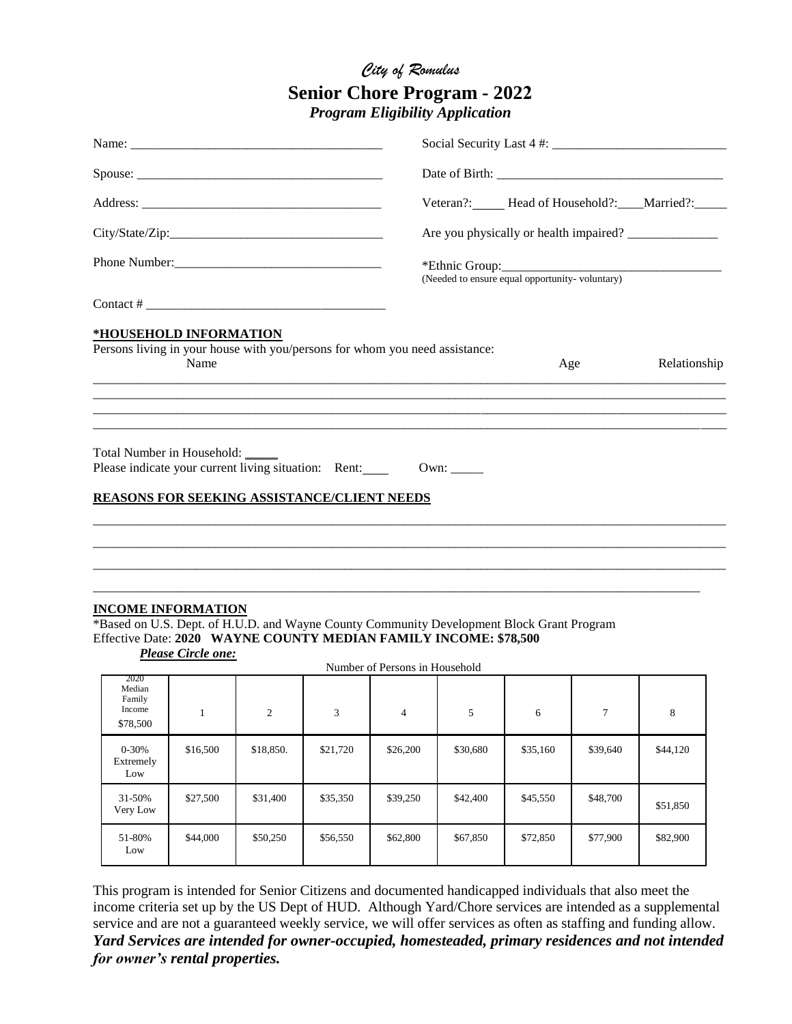## *City of Romulus*  **Senior Chore Program - 2022** *Program Eligibility Application*

|                                                                                                                                                                                            |                    | Date of Birth: 2008 and 2008 and 2008 and 2008 and 2008 and 2008 and 2008 and 2008 and 2008 and 2008 and 2008 and 2008 and 2008 and 2008 and 2008 and 2008 and 2008 and 2008 and 2008 and 2008 and 2008 and 2008 and 2008 and |          |                                |                                                                  |          |          |              |  |  |
|--------------------------------------------------------------------------------------------------------------------------------------------------------------------------------------------|--------------------|-------------------------------------------------------------------------------------------------------------------------------------------------------------------------------------------------------------------------------|----------|--------------------------------|------------------------------------------------------------------|----------|----------|--------------|--|--|
|                                                                                                                                                                                            |                    | Veteran?: Head of Household?: ___Married?: ____                                                                                                                                                                               |          |                                |                                                                  |          |          |              |  |  |
|                                                                                                                                                                                            |                    |                                                                                                                                                                                                                               |          |                                |                                                                  |          |          |              |  |  |
|                                                                                                                                                                                            |                    |                                                                                                                                                                                                                               |          |                                | *Ethnic Group:<br>(Needed to ensure equal opportunity-voluntary) |          |          |              |  |  |
| $\text{Context} \#$                                                                                                                                                                        |                    |                                                                                                                                                                                                                               |          |                                |                                                                  |          |          |              |  |  |
| *HOUSEHOLD INFORMATION<br>Persons living in your house with you/persons for whom you need assistance:                                                                                      | Name               |                                                                                                                                                                                                                               |          |                                |                                                                  | Age      |          | Relationship |  |  |
| Please indicate your current living situation: Rent:<br>REASONS FOR SEEKING ASSISTANCE/CLIENT NEEDS                                                                                        |                    |                                                                                                                                                                                                                               |          |                                | Own: $\_\_$                                                      |          |          |              |  |  |
|                                                                                                                                                                                            |                    |                                                                                                                                                                                                                               |          |                                |                                                                  |          |          |              |  |  |
| <b>INCOME INFORMATION</b><br>*Based on U.S. Dept. of H.U.D. and Wayne County Community Development Block Grant Program<br>Effective Date: 2020 WAYNE COUNTY MEDIAN FAMILY INCOME: \$78,500 | Please Circle one: |                                                                                                                                                                                                                               |          | Number of Persons in Household |                                                                  |          |          |              |  |  |
| 2020<br>Median<br>Family<br>Income<br>\$78,500                                                                                                                                             | $\mathbf{1}$       | $\overline{2}$                                                                                                                                                                                                                | 3        | $\overline{4}$                 | 5                                                                | 6        | 7        | 8            |  |  |
| $0 - 30%$<br>Extremely                                                                                                                                                                     | \$16,500           | \$18,850.                                                                                                                                                                                                                     | \$21,720 | \$26,200                       | \$30,680                                                         | \$35,160 | \$39,640 | \$44,120     |  |  |

| Extremely<br>Low   |          |          |          |          |          |          |          |          |
|--------------------|----------|----------|----------|----------|----------|----------|----------|----------|
| 31-50%<br>Very Low | \$27,500 | \$31,400 | \$35,350 | \$39,250 | \$42,400 | \$45,550 | \$48,700 | \$51,850 |
| 51-80%<br>Low      | \$44,000 | \$50,250 | \$56,550 | \$62,800 | \$67,850 | \$72,850 | \$77,900 | \$82,900 |

This program is intended for Senior Citizens and documented handicapped individuals that also meet the income criteria set up by the US Dept of HUD. Although Yard/Chore services are intended as a supplemental service and are not a guaranteed weekly service, we will offer services as often as staffing and funding allow. *Yard Services are intended for owner-occupied, homesteaded, primary residences and not intended for owner's rental properties.*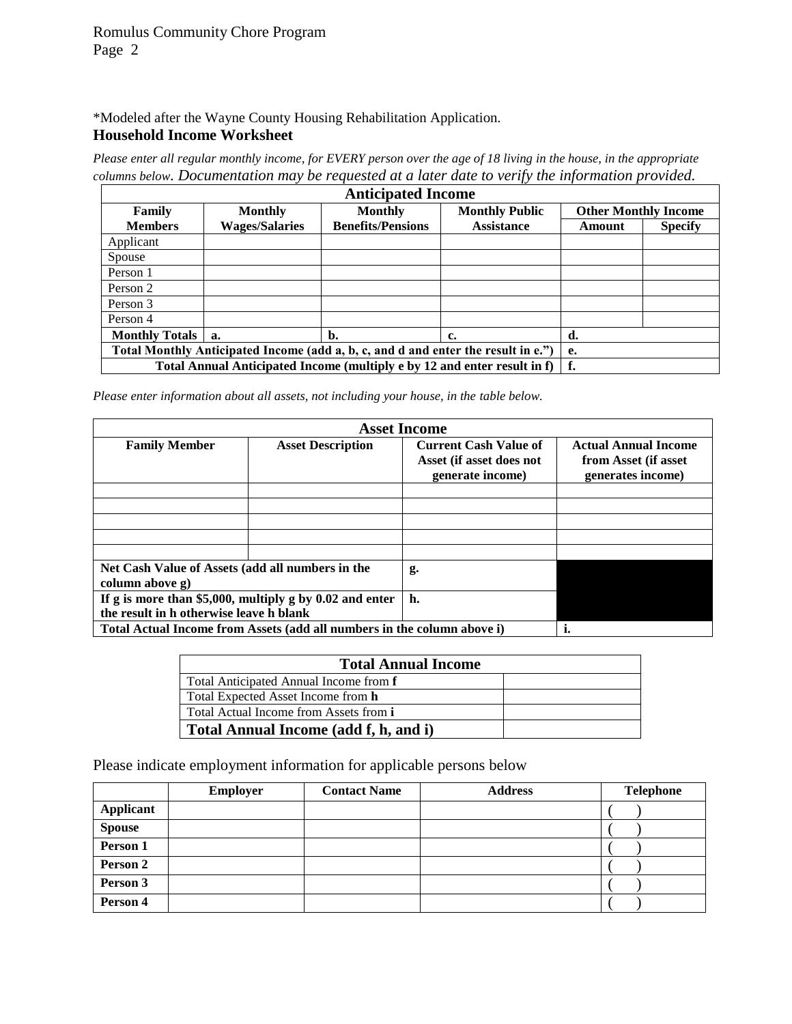## \*Modeled after the Wayne County Housing Rehabilitation Application. **Household Income Worksheet**

*Please enter all regular monthly income, for EVERY person over the age of 18 living in the house, in the appropriate columns below. Documentation may be requested at a later date to verify the information provided.*

| <b>Anticipated Income</b>                                                         |                       |                          |                       |                             |                |  |
|-----------------------------------------------------------------------------------|-----------------------|--------------------------|-----------------------|-----------------------------|----------------|--|
| Family                                                                            | <b>Monthly</b>        | <b>Monthly</b>           | <b>Monthly Public</b> | <b>Other Monthly Income</b> |                |  |
| <b>Members</b>                                                                    | <b>Wages/Salaries</b> | <b>Benefits/Pensions</b> | <b>Assistance</b>     | Amount                      | <b>Specify</b> |  |
| Applicant                                                                         |                       |                          |                       |                             |                |  |
| Spouse                                                                            |                       |                          |                       |                             |                |  |
| Person 1                                                                          |                       |                          |                       |                             |                |  |
| Person 2                                                                          |                       |                          |                       |                             |                |  |
| Person 3                                                                          |                       |                          |                       |                             |                |  |
| Person 4                                                                          |                       |                          |                       |                             |                |  |
| <b>Monthly Totals</b><br>d.<br>b.<br>а.<br>c.                                     |                       |                          |                       |                             |                |  |
| Total Monthly Anticipated Income (add a, b, c, and d and enter the result in e.") | е.                    |                          |                       |                             |                |  |
| Total Annual Anticipated Income (multiply e by 12 and enter result in f)          |                       |                          |                       | f.                          |                |  |

*Please enter information about all assets, not including your house, in the table below.*

| <b>Asset Income</b>                                                 |                                                                         |                                                                              |                                                                          |  |  |
|---------------------------------------------------------------------|-------------------------------------------------------------------------|------------------------------------------------------------------------------|--------------------------------------------------------------------------|--|--|
| <b>Family Member</b>                                                | <b>Asset Description</b>                                                | <b>Current Cash Value of</b><br>Asset (if asset does not<br>generate income) | <b>Actual Annual Income</b><br>from Asset (if asset<br>generates income) |  |  |
|                                                                     |                                                                         |                                                                              |                                                                          |  |  |
|                                                                     |                                                                         |                                                                              |                                                                          |  |  |
|                                                                     |                                                                         |                                                                              |                                                                          |  |  |
|                                                                     |                                                                         |                                                                              |                                                                          |  |  |
| Net Cash Value of Assets (add all numbers in the<br>column above g) |                                                                         | g.                                                                           |                                                                          |  |  |
|                                                                     | If g is more than \$5,000, multiply g by $0.02$ and enter               | h.                                                                           |                                                                          |  |  |
| the result in h otherwise leave h blank                             |                                                                         |                                                                              |                                                                          |  |  |
|                                                                     | Total Actual Income from Assets (add all numbers in the column above i) |                                                                              |                                                                          |  |  |

| <b>Total Annual Income</b>                |  |  |  |  |  |
|-------------------------------------------|--|--|--|--|--|
| Total Anticipated Annual Income from f    |  |  |  |  |  |
| Total Expected Asset Income from <b>h</b> |  |  |  |  |  |
| Total Actual Income from Assets from i    |  |  |  |  |  |
| Total Annual Income (add f, h, and i)     |  |  |  |  |  |

Please indicate employment information for applicable persons below

|                  | <b>Employer</b> | <b>Contact Name</b> | <b>Address</b> | <b>Telephone</b> |
|------------------|-----------------|---------------------|----------------|------------------|
| <b>Applicant</b> |                 |                     |                |                  |
| <b>Spouse</b>    |                 |                     |                |                  |
| Person 1         |                 |                     |                |                  |
| Person 2         |                 |                     |                |                  |
| Person 3         |                 |                     |                |                  |
| Person 4         |                 |                     |                |                  |